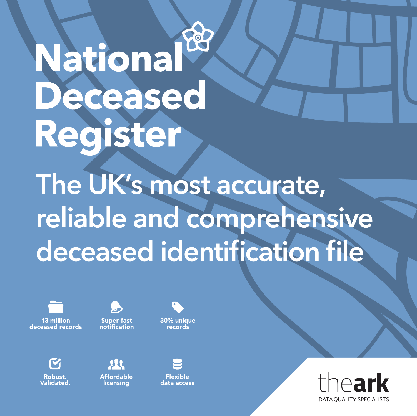### National Deceased Register

**The UK's most accurate, reliable and comprehensive deceased identification file**



Super-fast notification



Robust. Validated.

223 Affordable licensing

Flexible

data access

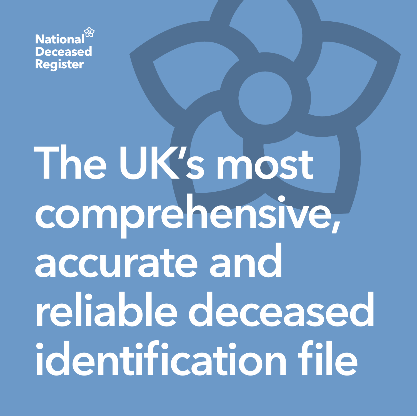

### **The UK's most comprehensive, accurate and reliable deceased identification file**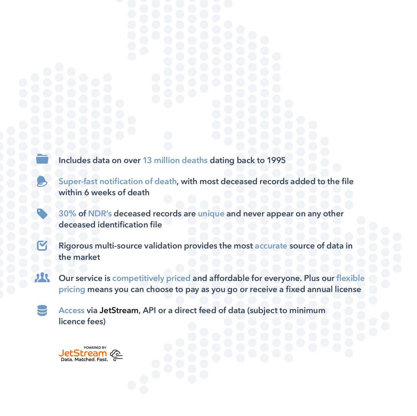**Includes data on over 13 million deaths dating back to 1995**

**Super-fast notification of death, with most deceased records added to the file within 6 weeks of death**

**30% of NDR's deceased records are unique and never appear on any other deceased identification file**

**Rigorous multi-source validation provides the most accurate source of data in the market**

74 **Our service is competitively priced and affordable for everyone. Plus our flexible pricing means you can choose to pay as you go or receive a fixed annual license**

**Access via JetStream, API or a direct feed of data (subject to minimum licence fees)** 

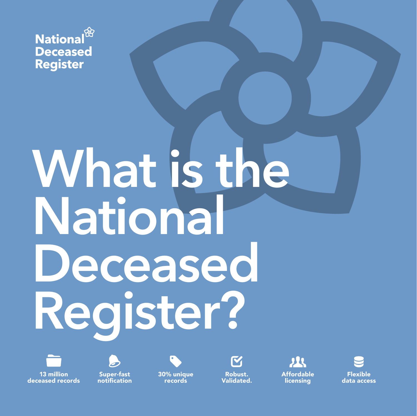

## What is the **National Deceased Register?**



13 million deceased records

Super-fast notification 30% unique records



Robust. Validated.



Affordable licensing

Flexible data access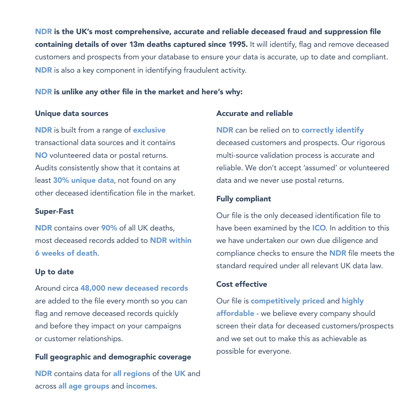NDR is the UK's most comprehensive, accurate and reliable deceased fraud and suppression file containing details of over 13m deaths captured since 1995. It will identify, flag and remove deceased customers and prospects from your database to ensure your data is accurate, up to date and compliant. NDR is also a key component in identifying fraudulent activity.

#### NDR is unlike any other file in the market and here's why:

#### Unique data sources

NDR is built from a range of exclusive transactional data sources and it contains NO volunteered data or postal returns. Audits consistently show that it contains at least 30% unique data, not found on any other deceased identification file in the market.

### Super-Fast

NDR contains over 90% of all UK deaths, most deceased records added to NDR within 6 weeks of death.

#### Up to date

Around circa 48,000 new deceased records are added to the file every month so you can flag and remove deceased records quickly and before they impact on your campaigns or customer relationships.

### Full geographic and demographic coverage

NDR contains data for all regions of the UK and across all age groups and incomes.

#### Accurate and reliable

NDR can be relied on to correctly identify deceased customers and prospects. Our rigorous multi-source validation process is accurate and reliable. We don't accept 'assumed' or volunteered data and we never use postal returns.

### Fully compliant

Our file is the only deceased identification file to have been examined by the **ICO**. In addition to this we have undertaken our own due diligence and compliance checks to ensure the NDR file meets the standard required under all relevant UK data law.

### Cost effective

Our file is **competitively priced** and highly affordable - we believe every company should screen their data for deceased customers/prospects and we set out to make this as achievable as possible for everyone.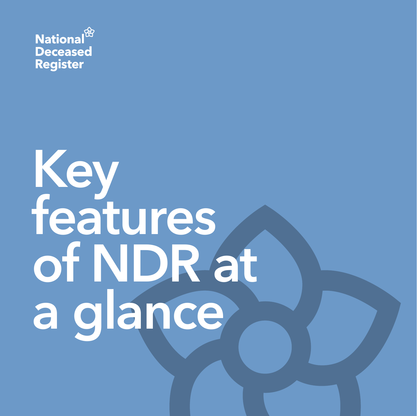

## **Key features of NDR at a glance**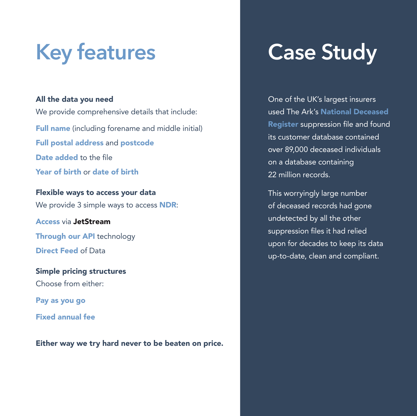### **Key features**

### All the data you need

We provide comprehensive details that include: Full name (including forename and middle initial) Full postal address and postcode Date added to the file Year of birth or date of birth

Flexible ways to access your data We provide 3 simple ways to access **NDR**:

Access via JetStream Through our API technology Direct Feed of Data

Simple pricing structures Choose from either:

Pay as you go

Fixed annual fee

Either way we try hard never to be beaten on price.

### **Case Study**

One of the UK's largest insurers used The Ark's National Deceased Register suppression file and found its customer database contained over 89,000 deceased individuals on a database containing 22 million records.

This worryingly large number of deceased records had gone undetected by all the other suppression files it had relied upon for decades to keep its data up-to-date, clean and compliant.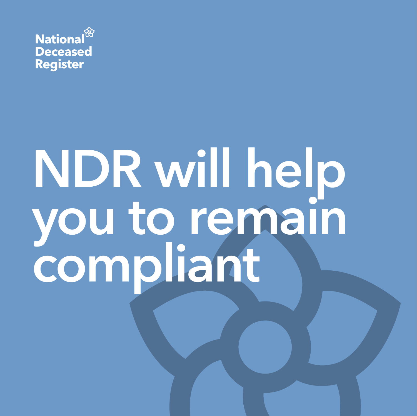

## **NDR will help you to remain compliant**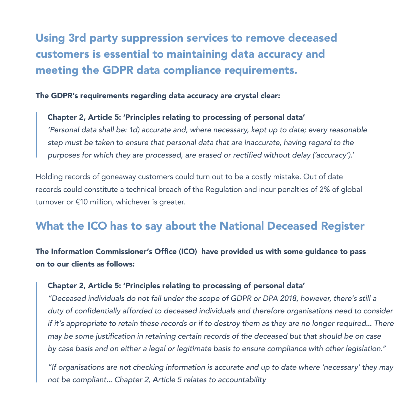### Using 3rd party suppression services to remove deceased customers is essential to maintaining data accuracy and meeting the GDPR data compliance requirements.

The GDPR's requirements regarding data accuracy are crystal clear:

Chapter 2, Article 5: 'Principles relating to processing of personal data' *'Personal data shall be: 1d) accurate and, where necessary, kept up to date; every reasonable step must be taken to ensure that personal data that are inaccurate, having regard to the*  purposes for which they are processed, are erased or rectified without delay ('accuracy').'

Holding records of goneaway customers could turn out to be a costly mistake. Out of date records could constitute a technical breach of the Regulation and incur penalties of 2% of global turnover or €10 million, whichever is greater.

### What the ICO has to say about the National Deceased Register

The Information Commissioner's Office (ICO) have provided us with some guidance to pass on to our clients as follows:

### Chapter 2, Article 5: 'Principles relating to processing of personal data'

"Deceased individuals do not fall under the scope of GDPR or DPA 2018, however, there's still a duty of confidentially afforded to deceased individuals and therefore organisations need to consider if it's appropriate to retain these records or if to destroy them as they are no longer required... There may be some justification in retaining certain records of the deceased but that should be on case by case basis and on either a legal or legitimate basis to ensure compliance with other legislation."

"If organisations are not checking information is accurate and up to date where 'necessary' they may not be compliant... Chapter 2, Article 5 relates to accountability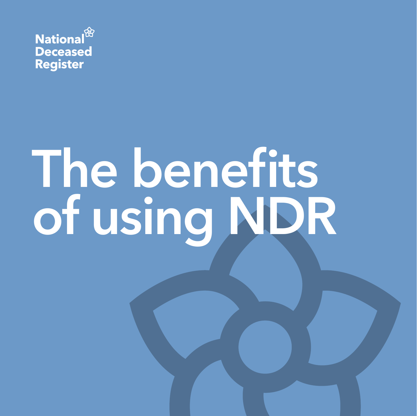

# **The benefits of using NDR**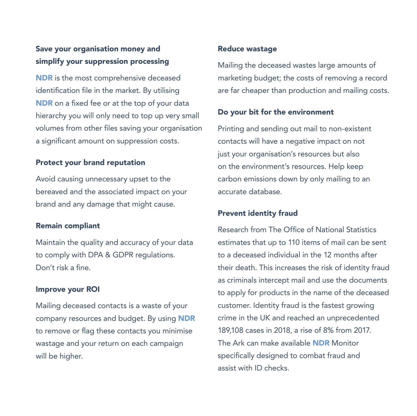### Save your organisation money and simplify your suppression processing

NDR is the most comprehensive deceased identification file in the market. By utilising NDR on a fixed fee or at the top of your data hierarchy you will only need to top up very small volumes from other files saving your organisation a significant amount on suppression costs.

### Protect your brand reputation

Avoid causing unnecessary upset to the bereaved and the associated impact on your brand and any damage that might cause.

### Remain compliant

Maintain the quality and accuracy of your data to comply with DPA & GDPR regulations. Don't risk a fine.

#### Improve your ROI

Mailing deceased contacts is a waste of your company resources and budget. By using NDR to remove or flag these contacts you minimise wastage and your return on each campaign will be higher.

### Reduce wastage

Mailing the deceased wastes large amounts of marketing budget; the costs of removing a record are far cheaper than production and mailing costs.

#### Do your bit for the environment

Printing and sending out mail to non-existent contacts will have a negative impact on not just your organisation's resources but also on the environment's resources. Help keep carbon emissions down by only mailing to an accurate database.

### Prevent identity fraud

Research from The Office of National Statistics estimates that up to 110 items of mail can be sent to a deceased individual in the 12 months after their death. This increases the risk of identity fraud as criminals intercept mail and use the documents to apply for products in the name of the deceased customer. Identity fraud is the fastest growing crime in the UK and reached an unprecedented 189,108 cases in 2018, a rise of 8% from 2017. The Ark can make available NDR Monitor specifically designed to combat fraud and assist with ID checks.